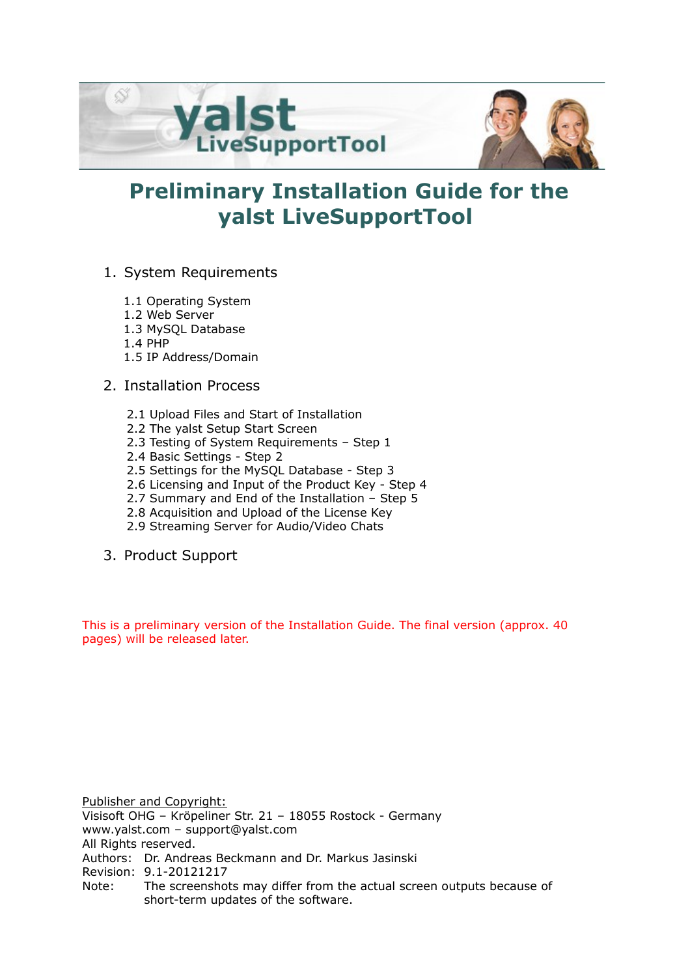

# **Preliminary Installation Guide for the yalst LiveSupportTool**

- 1. System Requirements
	- 1.1 Operating System
	- 1.2 Web Server
	- 1.3 MySQL Database
	- 1.4 PHP
	- 1.5 IP Address/Domain
- 2. Installation Process
	- 2.1 Upload Files and Start of Installation
	- 2.2 The yalst Setup Start Screen
	- 2.3 Testing of System Requirements Step 1
	- 2.4 Basic Settings Step 2
	- 2.5 Settings for the MySQL Database Step 3
	- 2.6 Licensing and Input of the Product Key Step 4
	- 2.7 Summary and End of the Installation Step 5
	- 2.8 Acquisition and Upload of the License Key
	- 2.9 Streaming Server for Audio/Video Chats
- 3. Product Support

This is a preliminary version of the Installation Guide. The final version (approx. 40 pages) will be released later.

Publisher and Copyright: Visisoft OHG – Kröpeliner Str. 21 – 18055 Rostock - Germany www.yalst.com – support@yalst.com All Rights reserved. Authors: Dr. Andreas Beckmann and Dr. Markus Jasinski Revision: 9.1-20121217 Note: The screenshots may differ from the actual screen outputs because of short-term updates of the software.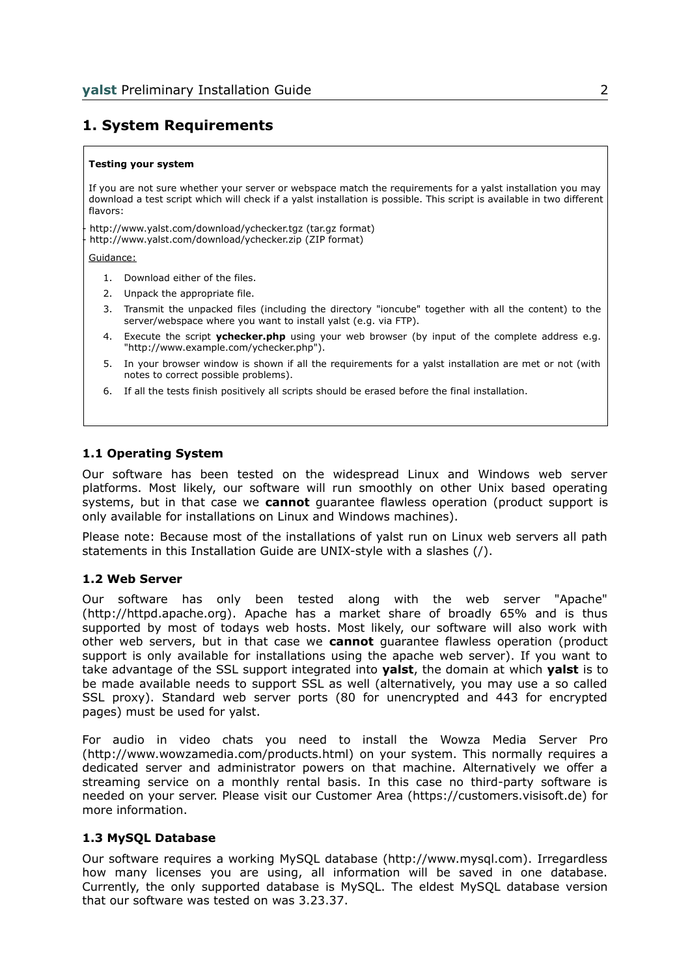# **1. System Requirements**

#### **Testing your system**

If you are not sure whether your server or webspace match the requirements for a yalst installation you may download a test script which will check if a yalst installation is possible. This script is available in two different flavors:

- http://www.yalst.com/download/ychecker.tgz (tar.gz format) http://www.yalst.com/download/ychecker.zip (ZIP format)

Guidance:

- 1. Download either of the files.
- 2. Unpack the appropriate file.
- 3. Transmit the unpacked files (including the directory "ioncube" together with all the content) to the server/webspace where you want to install yalst (e.g. via FTP).
- 4. Execute the script **ychecker.php** using your web browser (by input of the complete address e.g. "http://www.example.com/ychecker.php").
- 5. In your browser window is shown if all the requirements for a yalst installation are met or not (with notes to correct possible problems).
- 6. If all the tests finish positively all scripts should be erased before the final installation.

#### **1.1 Operating System**

Our software has been tested on the widespread Linux and Windows web server platforms. Most likely, our software will run smoothly on other Unix based operating systems, but in that case we **cannot** guarantee flawless operation (product support is only available for installations on Linux and Windows machines).

Please note: Because most of the installations of yalst run on Linux web servers all path statements in this Installation Guide are UNIX-style with a slashes (/).

#### **1.2 Web Server**

Our software has only been tested along with the web server "Apache" (http://httpd.apache.org). Apache has a market share of broadly 65% and is thus supported by most of todays web hosts. Most likely, our software will also work with other web servers, but in that case we **cannot** guarantee flawless operation (product support is only available for installations using the apache web server). If you want to take advantage of the SSL support integrated into **yalst**, the domain at which **yalst** is to be made available needs to support SSL as well (alternatively, you may use a so called SSL proxy). Standard web server ports (80 for unencrypted and 443 for encrypted pages) must be used for yalst.

For audio in video chats you need to install the Wowza Media Server Pro (http://www.wowzamedia.com/products.html) on your system. This normally requires a dedicated server and administrator powers on that machine. Alternatively we offer a streaming service on a monthly rental basis. In this case no third-party software is needed on your server. Please visit our Customer Area (https://customers.visisoft.de) for more information.

#### **1.3 MySQL Database**

Our software requires a working MySQL database (http://www.mysql.com). Irregardless how many licenses you are using, all information will be saved in one database. Currently, the only supported database is MySQL. The eldest MySQL database version that our software was tested on was 3.23.37.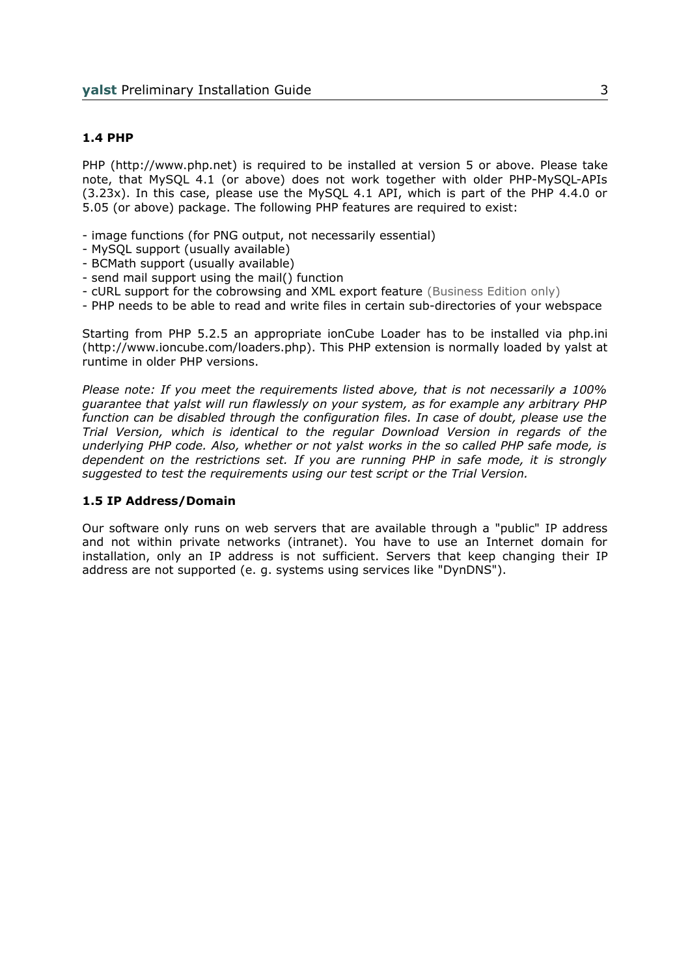#### **1.4 PHP**

PHP (http://www.php.net) is required to be installed at version 5 or above. Please take note, that MySQL 4.1 (or above) does not work together with older PHP-MySQL-APIs (3.23x). In this case, please use the MySQL 4.1 API, which is part of the PHP 4.4.0 or 5.05 (or above) package. The following PHP features are required to exist:

- image functions (for PNG output, not necessarily essential)
- MySQL support (usually available)
- BCMath support (usually available)
- send mail support using the mail() function
- cURL support for the cobrowsing and XML export feature (Business Edition only)
- PHP needs to be able to read and write files in certain sub-directories of your webspace

Starting from PHP 5.2.5 an appropriate ionCube Loader has to be installed via php.ini (http://www.ioncube.com/loaders.php). This PHP extension is normally loaded by yalst at runtime in older PHP versions.

*Please note: If you meet the requirements listed above, that is not necessarily a 100% guarantee that yalst will run flawlessly on your system, as for example any arbitrary PHP function can be disabled through the configuration files. In case of doubt, please use the Trial Version, which is identical to the regular Download Version in regards of the underlying PHP code. Also, whether or not yalst works in the so called PHP safe mode, is dependent on the restrictions set. If you are running PHP in safe mode, it is strongly suggested to test the requirements using our test script or the Trial Version.* 

#### **1.5 IP Address/Domain**

Our software only runs on web servers that are available through a "public" IP address and not within private networks (intranet). You have to use an Internet domain for installation, only an IP address is not sufficient. Servers that keep changing their IP address are not supported (e. g. systems using services like "DynDNS").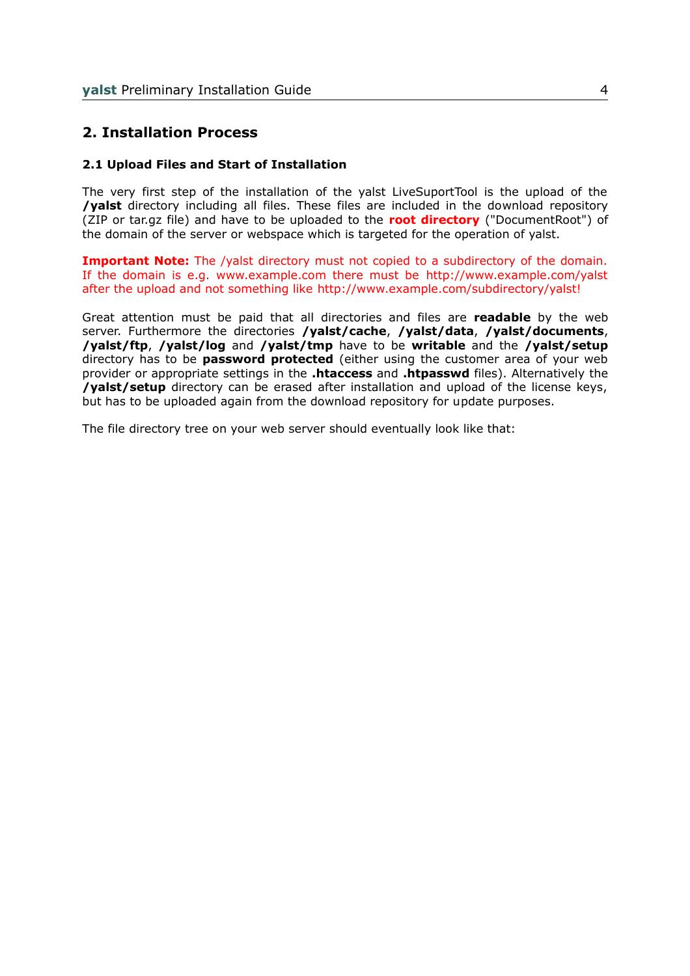## **2. Installation Process**

#### **2.1 Upload Files and Start of Installation**

The very first step of the installation of the yalst LiveSuportTool is the upload of the **/yalst** directory including all files. These files are included in the download repository (ZIP or tar.gz file) and have to be uploaded to the **root directory** ("DocumentRoot") of the domain of the server or webspace which is targeted for the operation of yalst.

**Important Note:** The /valst directory must not copied to a subdirectory of the domain. If the domain is e.g. www.example.com there must be http://www.example.com/yalst after the upload and not something like http://www.example.com/subdirectory/yalst!

Great attention must be paid that all directories and files are **readable** by the web server. Furthermore the directories **/yalst/cache**, **/yalst/data**, **/yalst/documents**, **/yalst/ftp**, **/yalst/log** and **/yalst/tmp** have to be **writable** and the **/yalst/setup** directory has to be **password protected** (either using the customer area of your web provider or appropriate settings in the **.htaccess** and **.htpasswd** files). Alternatively the **/yalst/setup** directory can be erased after installation and upload of the license keys, but has to be uploaded again from the download repository for update purposes.

The file directory tree on your web server should eventually look like that: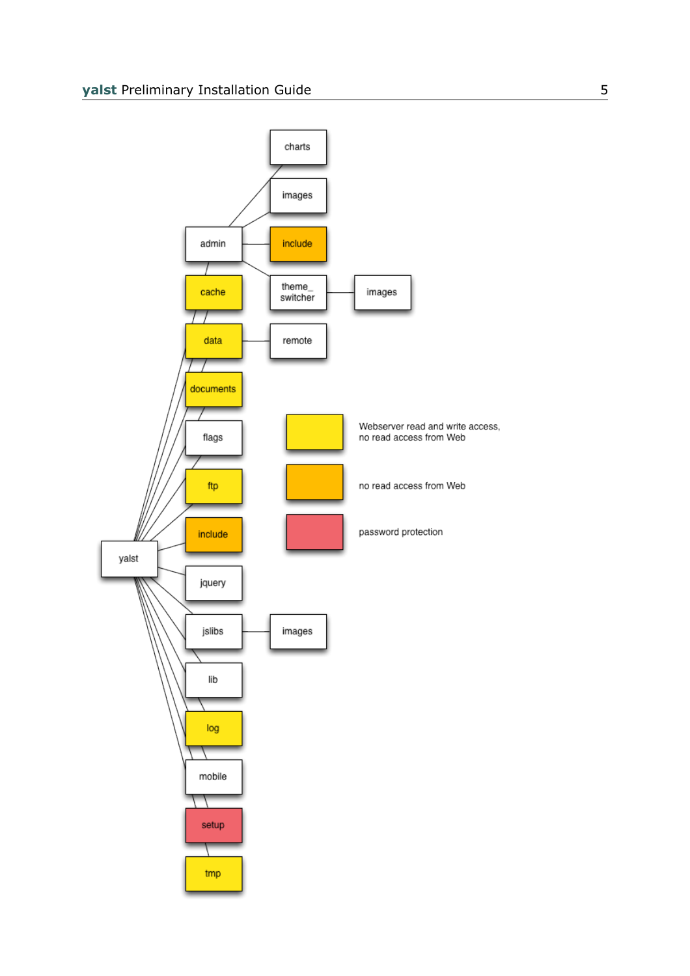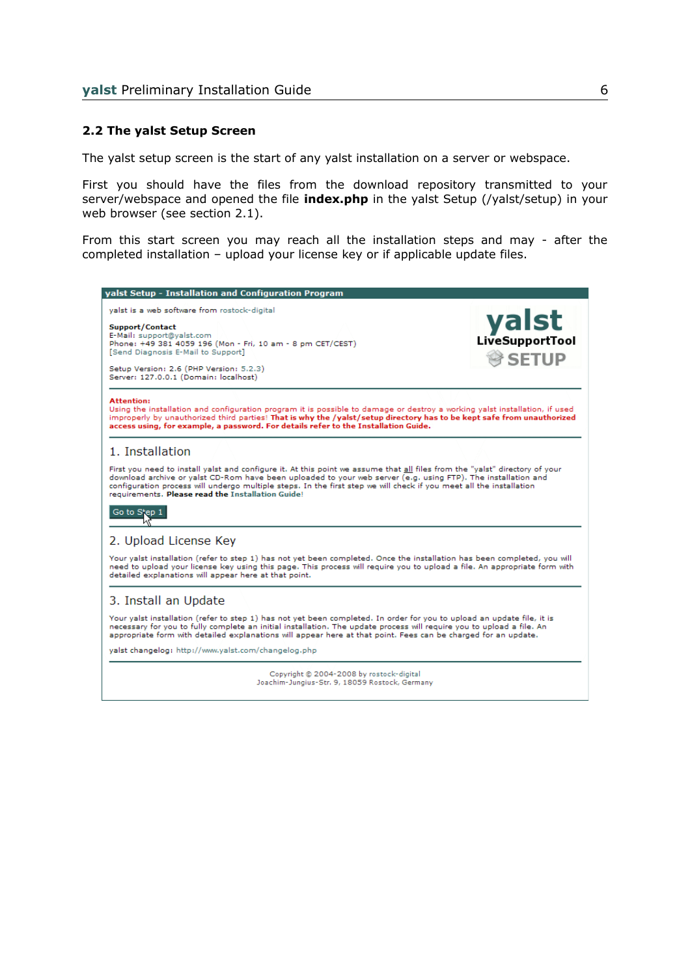#### **2.2 The yalst Setup Screen**

The yalst setup screen is the start of any yalst installation on a server or webspace.

First you should have the files from the download repository transmitted to your server/webspace and opened the file **index.php** in the yalst Setup (/yalst/setup) in your web browser (see section 2.1).

From this start screen you may reach all the installation steps and may - after the completed installation – upload your license key or if applicable update files.

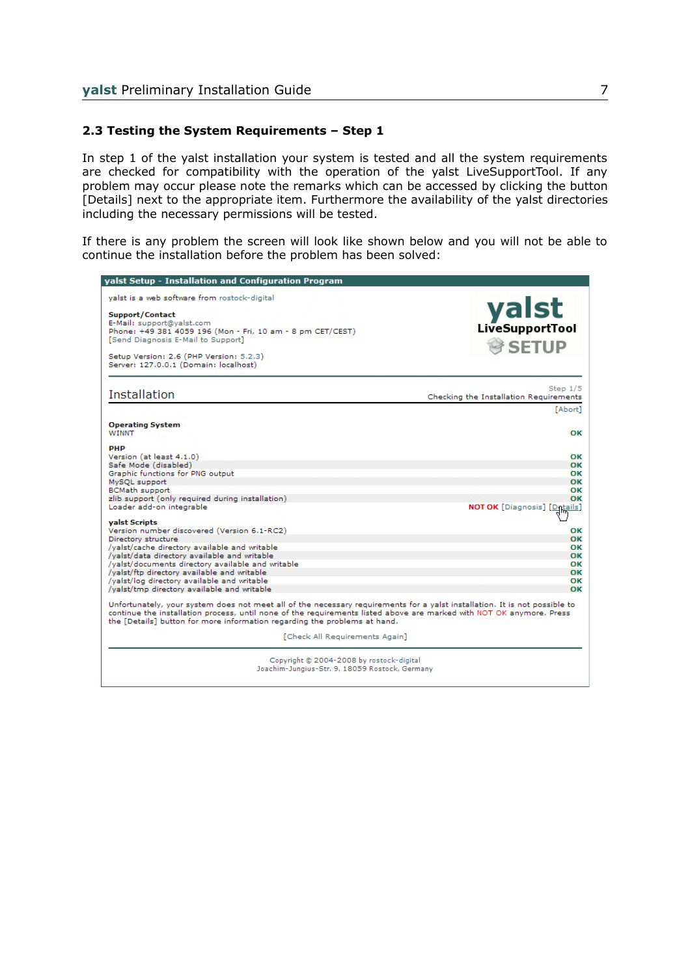#### **2.3 Testing the System Requirements – Step 1**

In step 1 of the yalst installation your system is tested and all the system requirements are checked for compatibility with the operation of the yalst LiveSupportTool. If any problem may occur please note the remarks which can be accessed by clicking the button [Details] next to the appropriate item. Furthermore the availability of the yalst directories including the necessary permissions will be tested.

If there is any problem the screen will look like shown below and you will not be able to continue the installation before the problem has been solved:

| yalst Setup - Installation and Configuration Program                                                                                                                                                                                                                                                                            |                                                      |
|---------------------------------------------------------------------------------------------------------------------------------------------------------------------------------------------------------------------------------------------------------------------------------------------------------------------------------|------------------------------------------------------|
| yalst is a web software from rostock-digital<br>Support/Contact<br>E-Mail: support@yalst.com<br>Phone: +49 381 4059 196 (Mon - Fri, 10 am - 8 pm CET/CEST)<br>[Send Diagnosis E-Mail to Support]<br>Setup Version: 2.6 (PHP Version: 5.2.3)<br>Server: 127.0.0.1 (Domain: localhost)                                            | yalst<br>SETUP <sup>®</sup>                          |
| <b>Installation</b>                                                                                                                                                                                                                                                                                                             | Step $1/5$<br>Checking the Installation Requirements |
|                                                                                                                                                                                                                                                                                                                                 | [Abort]                                              |
| <b>Operating System</b><br><b>WINNT</b>                                                                                                                                                                                                                                                                                         | OK                                                   |
| <b>PHP</b>                                                                                                                                                                                                                                                                                                                      |                                                      |
| Version (at least 4.1.0)                                                                                                                                                                                                                                                                                                        | OK                                                   |
| Safe Mode (disabled)                                                                                                                                                                                                                                                                                                            | OK                                                   |
| Graphic functions for PNG output<br>MySQL support                                                                                                                                                                                                                                                                               | OK<br>OK                                             |
| <b>BCMath support</b>                                                                                                                                                                                                                                                                                                           | ОΚ                                                   |
| zlib support (only required during installation)                                                                                                                                                                                                                                                                                | OK                                                   |
| Loader add-on integrable                                                                                                                                                                                                                                                                                                        | <b>NOT OK</b> [Diagnosis] [Details]                  |
| valst Scripts                                                                                                                                                                                                                                                                                                                   |                                                      |
| Version number discovered (Version 6.1-RC2)                                                                                                                                                                                                                                                                                     | OK                                                   |
| Directory structure<br>/yalst/cache directory available and writable                                                                                                                                                                                                                                                            | OK<br>OK                                             |
| /yalst/data directory available and writable                                                                                                                                                                                                                                                                                    | OK                                                   |
| /valst/documents directory available and writable                                                                                                                                                                                                                                                                               | OK                                                   |
| /yalst/ftp directory available and writable                                                                                                                                                                                                                                                                                     | OK                                                   |
| /yalst/log directory available and writable                                                                                                                                                                                                                                                                                     | OK                                                   |
| /yalst/tmp directory available and writable                                                                                                                                                                                                                                                                                     | OK                                                   |
| Unfortunately, your system does not meet all of the necessary requirements for a yalst installation. It is not possible to<br>continue the installation process, until none of the requirements listed above are marked with NOT OK anymore. Press<br>the [Details] button for more information regarding the problems at hand. |                                                      |
| [Check All Requirements Again]                                                                                                                                                                                                                                                                                                  |                                                      |
| Copyright @ 2004-2008 by rostock-digital<br>Joachim-Jungius-Str. 9, 18059 Rostock, Germany                                                                                                                                                                                                                                      |                                                      |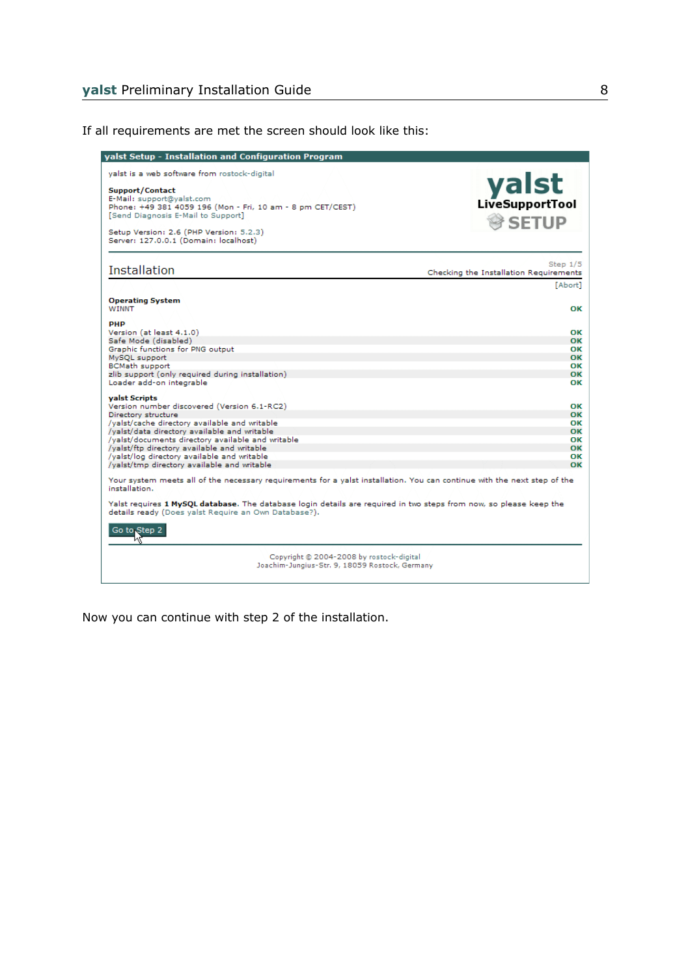yalst Setup - Installation and Configuration Program yalst is a web software from rostock-digital yalst Support/Contact<br>E-Mail: support@yalst.com Phone: +49 381 4059 196 (Mon - Fri, 10 am - 8 pm CET/CEST) [Send Diagnosis E-Mail to Support] SETUP<sup>®</sup> Setup Version: 2.6 (PHP Version: 5.2.3) Server: 127.0.0.1 (Domain: localhost) Step  $1/5$ Installation Checking the Installation Requirements [Abort] **Operating System** WINNT **PHP** Version (at least 4.1.0) Safe Mode (disabled)<br>Graphic functions for PNG output  $\frac{OK}{OK}$ MySQL support BCMath support<br>BCMath support<br>zlib support (only required during installation) Loader add-on integrable valst Scripts .<br>Version number discovered (Version 6.1-RC2) Directory structure /yalst/cache directory available and writable /yalst/data directory available and writable<br>/yalst/documents directory available and writable /yalst/ftp directory available and writable<br>/yalst/log directory available and writable /yalst/tmp directory available and writable Your system meets all of the necessary requirements for a yalst installation. You can continue with the next step of the installation. Yalst requires 1 MySQL database. The database login details are required in two steps from now, so please keep the details ready (Does yalst Require an Own Database?). Go to Step 2 Copyright @ 2004-2008 by rostock-digital Joachim-Jungius-Str. 9, 18059 Rostock, Germany

If all requirements are met the screen should look like this:

Now you can continue with step 2 of the installation.

OK

OK

OK

OK  $\overline{\textbf{X}}$ 

OK

OK OK

OK

OK OK

OK OK

OK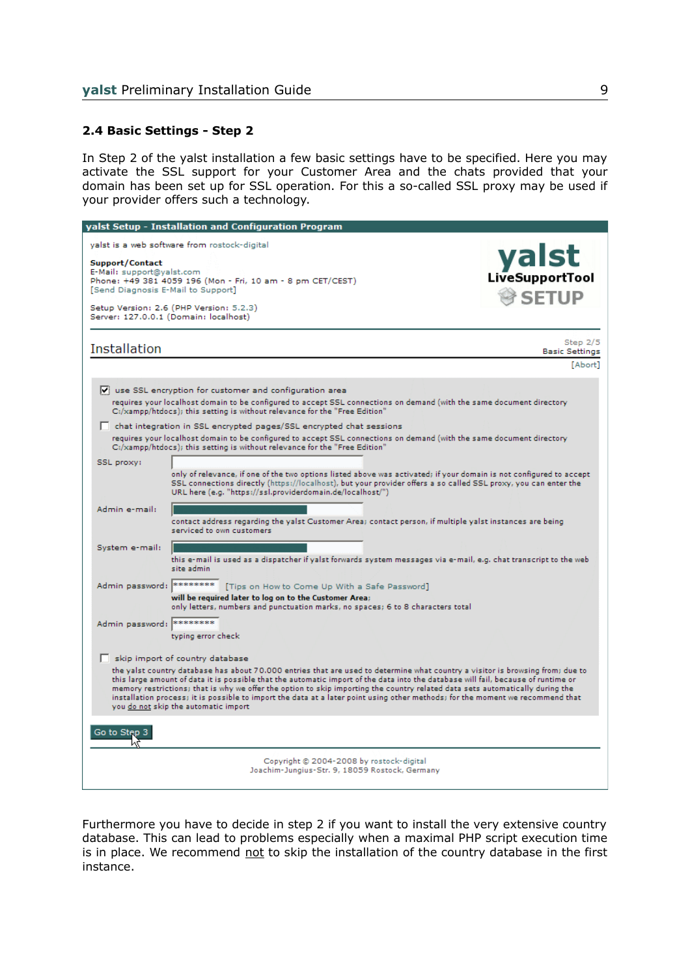#### **2.4 Basic Settings - Step 2**

In Step 2 of the yalst installation a few basic settings have to be specified. Here you may activate the SSL support for your Customer Area and the chats provided that your domain has been set up for SSL operation. For this a so-called SSL proxy may be used if your provider offers such a technology.

|                                                                                    | yalst Setup - Installation and Configuration Program                                                                                                                                                                                                                                                                                                                                                                                                                                                                                                                           |                                     |
|------------------------------------------------------------------------------------|--------------------------------------------------------------------------------------------------------------------------------------------------------------------------------------------------------------------------------------------------------------------------------------------------------------------------------------------------------------------------------------------------------------------------------------------------------------------------------------------------------------------------------------------------------------------------------|-------------------------------------|
|                                                                                    | yalst is a web software from rostock-digital                                                                                                                                                                                                                                                                                                                                                                                                                                                                                                                                   |                                     |
| Support/Contact<br>E-Mail: support@yalst.com<br>[Send Diagnosis E-Mail to Support] | Phone: +49 381 4059 196 (Mon - Fri, 10 am - 8 pm CET/CEST)                                                                                                                                                                                                                                                                                                                                                                                                                                                                                                                     | yalst<br>SETUP                      |
|                                                                                    | Setup Version: 2.6 (PHP Version: 5.2.3)<br>Server: 127.0.0.1 (Domain: localhost)                                                                                                                                                                                                                                                                                                                                                                                                                                                                                               |                                     |
|                                                                                    |                                                                                                                                                                                                                                                                                                                                                                                                                                                                                                                                                                                |                                     |
| Installation                                                                       |                                                                                                                                                                                                                                                                                                                                                                                                                                                                                                                                                                                | Step $2/5$<br><b>Basic Settings</b> |
|                                                                                    |                                                                                                                                                                                                                                                                                                                                                                                                                                                                                                                                                                                | [Abort]                             |
|                                                                                    | $\triangledown$ use SSL encryption for customer and configuration area<br>requires your localhost domain to be configured to accept SSL connections on demand (with the same document directory<br>C:/xampp/htdocs); this setting is without relevance for the "Free Edition"                                                                                                                                                                                                                                                                                                  |                                     |
|                                                                                    | chat integration in SSL encrypted pages/SSL encrypted chat sessions                                                                                                                                                                                                                                                                                                                                                                                                                                                                                                            |                                     |
|                                                                                    | requires your localhost domain to be configured to accept SSL connections on demand (with the same document directory<br>C:/xampp/htdocs); this setting is without relevance for the "Free Edition"                                                                                                                                                                                                                                                                                                                                                                            |                                     |
| SSL proxy:                                                                         | only of relevance, if one of the two options listed above was activated; if your domain is not configured to accept<br>SSL connections directly (https://localhost), but your provider offers a so called SSL proxy, you can enter the<br>URL here (e.g. "https://ssl.providerdomain.de/localhost/")                                                                                                                                                                                                                                                                           |                                     |
| Admin e-mail:                                                                      | contact address regarding the yalst Customer Area; contact person, if multiple yalst instances are being<br>serviced to own customers                                                                                                                                                                                                                                                                                                                                                                                                                                          |                                     |
| System e-mail:                                                                     | this e-mail is used as a dispatcher if yalst forwards system messages via e-mail, e.g. chat transcript to the web<br>site admin                                                                                                                                                                                                                                                                                                                                                                                                                                                |                                     |
| Admin password: ********                                                           | [Tips on How to Come Up With a Safe Password]                                                                                                                                                                                                                                                                                                                                                                                                                                                                                                                                  |                                     |
|                                                                                    | will be required later to log on to the Customer Area;<br>only letters, numbers and punctuation marks, no spaces; 6 to 8 characters total                                                                                                                                                                                                                                                                                                                                                                                                                                      |                                     |
| Admin password:                                                                    | <b>Book Book Book Book</b>                                                                                                                                                                                                                                                                                                                                                                                                                                                                                                                                                     |                                     |
|                                                                                    | typing error check                                                                                                                                                                                                                                                                                                                                                                                                                                                                                                                                                             |                                     |
|                                                                                    | skip import of country database                                                                                                                                                                                                                                                                                                                                                                                                                                                                                                                                                |                                     |
|                                                                                    | the yalst country database has about 70.000 entries that are used to determine what country a visitor is browsing from; due to<br>this large amount of data it is possible that the automatic import of the data into the database will fail, because of runtime or<br>memory restrictions; that is why we offer the option to skip importing the country related data sets automatically during the<br>installation process; it is possible to import the data at a later point using other methods; for the moment we recommend that<br>you do not skip the automatic import |                                     |
| Go to Step 3                                                                       |                                                                                                                                                                                                                                                                                                                                                                                                                                                                                                                                                                                |                                     |
|                                                                                    | Copyright @ 2004-2008 by rostock-digital<br>Joachim-Jungius-Str. 9, 18059 Rostock, Germany                                                                                                                                                                                                                                                                                                                                                                                                                                                                                     |                                     |
|                                                                                    |                                                                                                                                                                                                                                                                                                                                                                                                                                                                                                                                                                                |                                     |

Furthermore you have to decide in step 2 if you want to install the very extensive country database. This can lead to problems especially when a maximal PHP script execution time is in place. We recommend not to skip the installation of the country database in the first instance.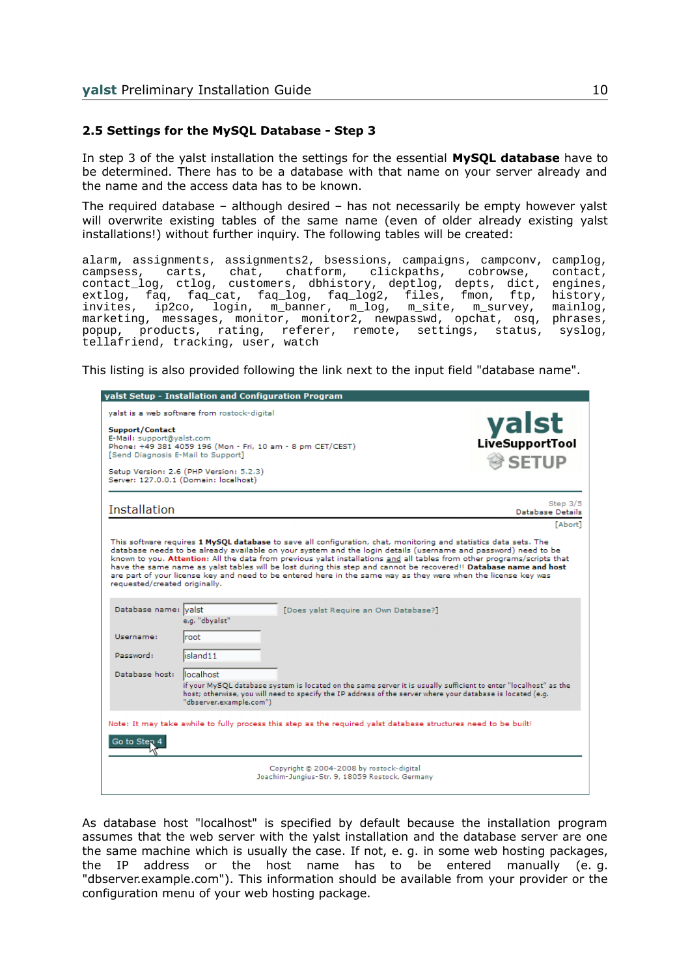#### **2.5 Settings for the MySQL Database - Step 3**

In step 3 of the yalst installation the settings for the essential **MySQL database** have to be determined. There has to be a database with that name on your server already and the name and the access data has to be known.

The required database – although desired – has not necessarily be empty however yalst will overwrite existing tables of the same name (even of older already existing yalst installations!) without further inquiry. The following tables will be created:

alarm, assignments, assignments2, bsessions, campaigns, campconv, camplog, campsess, carts, chat, chatform, clickpaths, cobrowse, contact, contact\_log, ctlog, customers, dbhistory, deptlog, depts, dict, engines, extlog, faq, faq\_cat, faq\_log, faq\_log2, files, fmon, ftp, history, invites, ip2co, login, m\_banner, m\_log, m\_site, m\_survey, mainlog, marketing, messages, monitor, monitor2, newpasswd, opchat, osq, phrases, popup, products, rating, referer, remote, settings, status, syslog, tellafriend, tracking, user, watch

This listing is also provided following the link next to the input field "database name".

| yalst Setup - Installation and Configuration Program                                                                                                                                                                                                                                                                                                                                                                                                                                                                                                                                                                                   |                                |
|----------------------------------------------------------------------------------------------------------------------------------------------------------------------------------------------------------------------------------------------------------------------------------------------------------------------------------------------------------------------------------------------------------------------------------------------------------------------------------------------------------------------------------------------------------------------------------------------------------------------------------------|--------------------------------|
| valst is a web software from rostock-digital<br>Support/Contact<br>E-Mail: support@yalst.com<br>Phone: +49 381 4059 196 (Mon - Fri, 10 am - 8 pm CET/CEST)<br>[Send Diagnosis E-Mail to Support]<br>Setup Version: 2.6 (PHP Version: 5.2.3)<br>Server: 127.0.0.1 (Domain: localhost)                                                                                                                                                                                                                                                                                                                                                   | yalst<br><b>SETUP</b>          |
| Installation                                                                                                                                                                                                                                                                                                                                                                                                                                                                                                                                                                                                                           | Step $3/5$<br>Database Details |
|                                                                                                                                                                                                                                                                                                                                                                                                                                                                                                                                                                                                                                        | [Abort]                        |
| This software requires 1 MySQL database to save all configuration, chat, monitoring and statistics data sets. The<br>database needs to be already available on your system and the login details (username and password) need to be<br>known to you. Attention: All the data from previous yalst installations and all tables from other programs/scripts that<br>have the same name as yalst tables will be lost during this step and cannot be recovered!! Database name and host<br>are part of your license key and need to be entered here in the same way as they were when the license key was<br>requested/created originally. |                                |
| Database name: valst<br>[Does yalst Require an Own Database?]<br>e.g. "dbyalst"<br>Username:<br>root<br>Password:<br>island11                                                                                                                                                                                                                                                                                                                                                                                                                                                                                                          |                                |
| Database host:<br>llocalhost<br>if your MySQL database system is located on the same server it is usually sufficient to enter "localhost" as the<br>host; otherwise, you will need to specify the IP address of the server where your database is located (e.g.<br>"dbserver.example.com")                                                                                                                                                                                                                                                                                                                                             |                                |
| Note: It may take awhile to fully process this step as the required yalst database structures need to be built!<br>Go to Step 4                                                                                                                                                                                                                                                                                                                                                                                                                                                                                                        |                                |
| Copyright @ 2004-2008 by rostock-digital<br>Joachim-Jungius-Str. 9, 18059 Rostock, Germany                                                                                                                                                                                                                                                                                                                                                                                                                                                                                                                                             |                                |

As database host "localhost" is specified by default because the installation program assumes that the web server with the yalst installation and the database server are one the same machine which is usually the case. If not, e. g. in some web hosting packages, the IP address or the host name has to be entered manually (e. g. "dbserver.example.com"). This information should be available from your provider or the configuration menu of your web hosting package.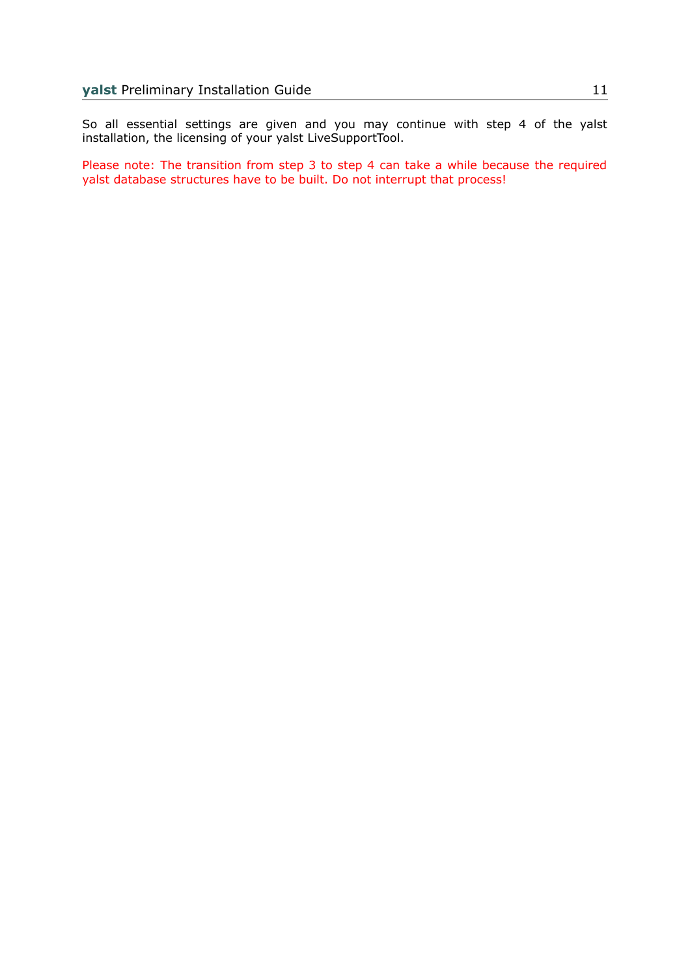So all essential settings are given and you may continue with step 4 of the yalst installation, the licensing of your yalst LiveSupportTool.

Please note: The transition from step 3 to step 4 can take a while because the required yalst database structures have to be built. Do not interrupt that process!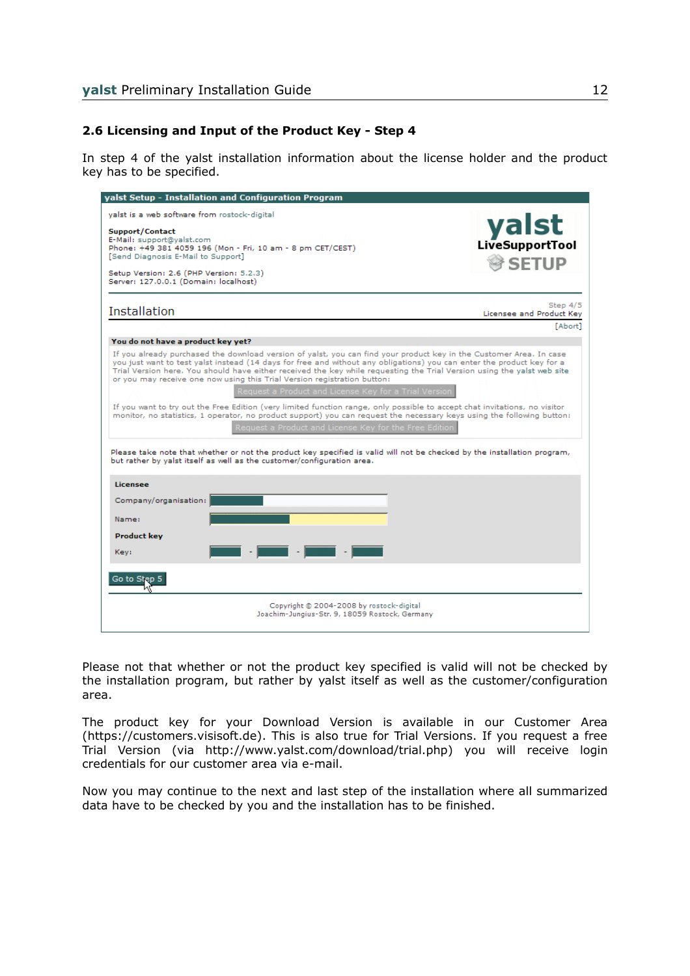## **2.6 Licensing and Input of the Product Key - Step 4**

In step 4 of the yalst installation information about the license holder and the product key has to be specified.

| yalst Setup - Installation and Configuration Program                                                                                                                                                                                                                                                                                                                                                                                                                                                                                                                                                                                                                                                                                                                                                                                                                                                                                                                                                                                  |                                      |
|---------------------------------------------------------------------------------------------------------------------------------------------------------------------------------------------------------------------------------------------------------------------------------------------------------------------------------------------------------------------------------------------------------------------------------------------------------------------------------------------------------------------------------------------------------------------------------------------------------------------------------------------------------------------------------------------------------------------------------------------------------------------------------------------------------------------------------------------------------------------------------------------------------------------------------------------------------------------------------------------------------------------------------------|--------------------------------------|
| yalst is a web software from rostock-digital<br>Support/Contact<br>E-Mail: support@yalst.com<br>Phone: +49 381 4059 196 (Mon - Fri, 10 am - 8 pm CET/CEST)<br>[Send Diagnosis E-Mail to Support]<br>Setup Version: 2.6 (PHP Version: 5.2.3)<br>Server: 127.0.0.1 (Domain: localhost)                                                                                                                                                                                                                                                                                                                                                                                                                                                                                                                                                                                                                                                                                                                                                  | yalst<br>SETUP <sup>®</sup>          |
| Installation                                                                                                                                                                                                                                                                                                                                                                                                                                                                                                                                                                                                                                                                                                                                                                                                                                                                                                                                                                                                                          | Step 4/5<br>Licensee and Product Key |
|                                                                                                                                                                                                                                                                                                                                                                                                                                                                                                                                                                                                                                                                                                                                                                                                                                                                                                                                                                                                                                       | [Abort]                              |
| You do not have a product key yet?                                                                                                                                                                                                                                                                                                                                                                                                                                                                                                                                                                                                                                                                                                                                                                                                                                                                                                                                                                                                    |                                      |
| If you already purchased the download version of yalst, you can find your product key in the Customer Area. In case<br>you just want to test yalst instead (14 days for free and without any obligations) you can enter the product key for a<br>Trial Version here. You should have either received the key while requesting the Trial Version using the yalst web site<br>or you may receive one now using this Trial Version registration button:<br>Request a Product and License Key for a Trial Version<br>If you want to try out the Free Edition (very limited function range, only possible to accept chat invitations, no visitor<br>monitor, no statistics, 1 operator, no product support) you can request the necessary keys using the following button:<br>Request a Product and License Key for the Free Edition<br>Please take note that whether or not the product key specified is valid will not be checked by the installation program,<br>but rather by yalst itself as well as the customer/configuration area. |                                      |
| Licensee                                                                                                                                                                                                                                                                                                                                                                                                                                                                                                                                                                                                                                                                                                                                                                                                                                                                                                                                                                                                                              |                                      |
| Company/organisation:                                                                                                                                                                                                                                                                                                                                                                                                                                                                                                                                                                                                                                                                                                                                                                                                                                                                                                                                                                                                                 |                                      |
| Name:                                                                                                                                                                                                                                                                                                                                                                                                                                                                                                                                                                                                                                                                                                                                                                                                                                                                                                                                                                                                                                 |                                      |
| <b>Product key</b>                                                                                                                                                                                                                                                                                                                                                                                                                                                                                                                                                                                                                                                                                                                                                                                                                                                                                                                                                                                                                    |                                      |
| an di sebagai di sebagai di sebagai di sebagai di sebagai di sebagai di sebagai di sebagai di sebagai di sebag<br>Key:                                                                                                                                                                                                                                                                                                                                                                                                                                                                                                                                                                                                                                                                                                                                                                                                                                                                                                                |                                      |
| Go to Step 5                                                                                                                                                                                                                                                                                                                                                                                                                                                                                                                                                                                                                                                                                                                                                                                                                                                                                                                                                                                                                          |                                      |
| Copyright @ 2004-2008 by rostock-digital<br>Joachim-Jungius-Str. 9, 18059 Rostock, Germany                                                                                                                                                                                                                                                                                                                                                                                                                                                                                                                                                                                                                                                                                                                                                                                                                                                                                                                                            |                                      |

Please not that whether or not the product key specified is valid will not be checked by the installation program, but rather by yalst itself as well as the customer/configuration area.

The product key for your Download Version is available in our Customer Area (https://customers.visisoft.de). This is also true for Trial Versions. If you request a free Trial Version (via http://www.yalst.com/download/trial.php) you will receive login credentials for our customer area via e-mail.

Now you may continue to the next and last step of the installation where all summarized data have to be checked by you and the installation has to be finished.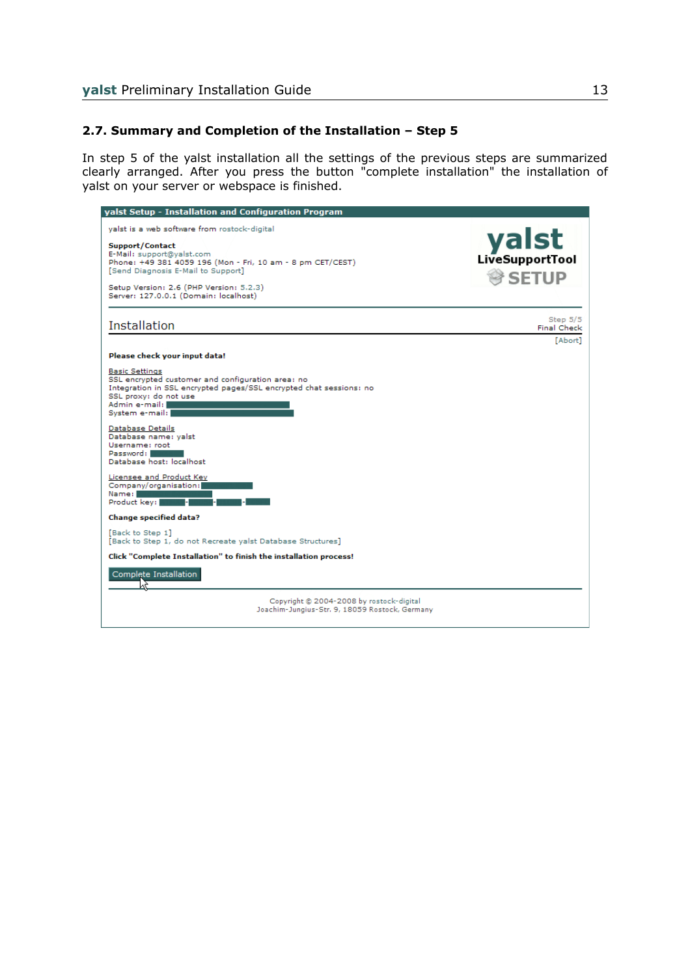### **2.7. Summary and Completion of the Installation – Step 5**

In step 5 of the yalst installation all the settings of the previous steps are summarized clearly arranged. After you press the button "complete installation" the installation of yalst on your server or webspace is finished.

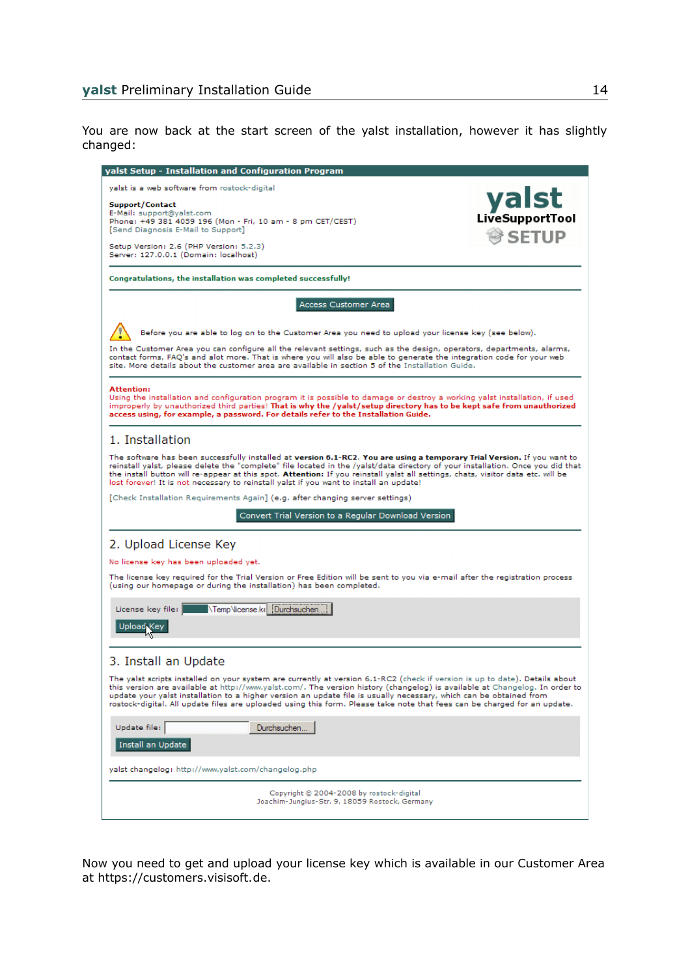You are now back at the start screen of the yalst installation, however it has slightly changed:

| yalst Setup - Installation and Configuration Program                                                                                                                                                                                                                                                                                                                                                                                                                                                         |                                    |
|--------------------------------------------------------------------------------------------------------------------------------------------------------------------------------------------------------------------------------------------------------------------------------------------------------------------------------------------------------------------------------------------------------------------------------------------------------------------------------------------------------------|------------------------------------|
| yalst is a web software from rostock-digital<br>Support/Contact<br>E-Mail: support@yalst.com<br>Phone: +49 381 4059 196 (Mon - Fri, 10 am - 8 pm CET/CEST)<br>[Send Diagnosis E-Mail to Support]<br>Setup Version: 2.6 (PHP Version: 5.2.3)<br>Server: 127.0.0.1 (Domain: localhost)                                                                                                                                                                                                                         | <b>yalst</b><br>SETUP <sup>®</sup> |
| Congratulations, the installation was completed successfully!                                                                                                                                                                                                                                                                                                                                                                                                                                                |                                    |
| Access Customer Area                                                                                                                                                                                                                                                                                                                                                                                                                                                                                         |                                    |
| Before you are able to log on to the Customer Area you need to upload your license key (see below).<br>In the Customer Area you can configure all the relevant settings, such as the design, operators, departments, alarms,<br>contact forms, FAQ's and alot more. That is where you will also be able to generate the integration code for your web<br>site. More details about the customer area are available in section 5 of the Installation Guide.                                                    |                                    |
| <b>Attention:</b><br>Using the installation and configuration program it is possible to damage or destroy a working yalst installation, if used<br>improperly by unauthorized third parties! That is why the /yalst/setup directory has to be kept safe from unauthorized<br>access using, for example, a password. For details refer to the Installation Guide.                                                                                                                                             |                                    |
| 1. Installation                                                                                                                                                                                                                                                                                                                                                                                                                                                                                              |                                    |
| The software has been successfully installed at version 6.1-RC2. You are using a temporary Trial Version. If you want to<br>reinstall yalst, please delete the "complete" file located in the /yalst/data directory of your installation. Once you did that<br>the install button will re-appear at this spot. Attention: If you reinstall yalst all settings, chats, visitor data etc. will be<br>lost forever! It is not necessary to reinstall yalst if you want to install an update!                    |                                    |
| [Check Installation Requirements Again] (e.g. after changing server settings)                                                                                                                                                                                                                                                                                                                                                                                                                                |                                    |
| Convert Trial Version to a Regular Download Version                                                                                                                                                                                                                                                                                                                                                                                                                                                          |                                    |
| 2. Upload License Key                                                                                                                                                                                                                                                                                                                                                                                                                                                                                        |                                    |
| No license key has been uploaded yet.                                                                                                                                                                                                                                                                                                                                                                                                                                                                        |                                    |
| The license key required for the Trial Version or Free Edition will be sent to you via e-mail after the registration process<br>(using our homepage or during the installation) has been completed.                                                                                                                                                                                                                                                                                                          |                                    |
| NTemp Vicense ke Durchsuchen<br>License key file:<br>Upload Key                                                                                                                                                                                                                                                                                                                                                                                                                                              |                                    |
| 3. Install an Update                                                                                                                                                                                                                                                                                                                                                                                                                                                                                         |                                    |
| The yalst scripts installed on your system are currently at version 6.1-RC2 (check if version is up to date). Details about<br>this version are available at http://www.yalst.com/. The version history (changelog) is available at Changelog. In order to<br>update your yalst installation to a higher version an update file is usually necessary, which can be obtained from<br>rostock-digital. All update files are uploaded using this form. Please take note that fees can be charged for an update. |                                    |
| Update file:<br>Durchsuchen.<br>Install an Update                                                                                                                                                                                                                                                                                                                                                                                                                                                            |                                    |
| yalst changelog: http://www.yalst.com/changelog.php                                                                                                                                                                                                                                                                                                                                                                                                                                                          |                                    |
| Copyright @ 2004-2008 by rostock-digital<br>Joachim-Jungius-Str. 9, 18059 Rostock, Germany                                                                                                                                                                                                                                                                                                                                                                                                                   |                                    |

Now you need to get and upload your license key which is available in our Customer Area at https://customers.visisoft.de.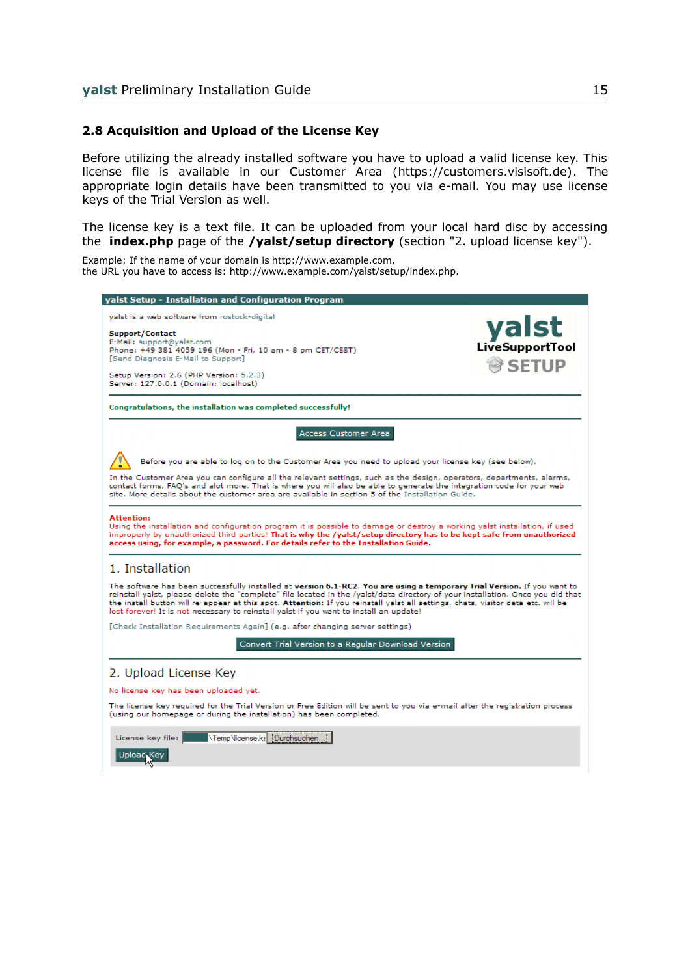#### **2.8 Acquisition and Upload of the License Key**

Before utilizing the already installed software you have to upload a valid license key. This license file is available in our Customer Area (https://customers.visisoft.de). The appropriate login details have been transmitted to you via e-mail. You may use license keys of the Trial Version as well.

The license key is a text file. It can be uploaded from your local hard disc by accessing the **index.php** page of the **/yalst/setup directory** (section "2. upload license key").

Example: If the name of your domain is http://www.example.com, the URL you have to access is: http://www.example.com/yalst/setup/index.php.

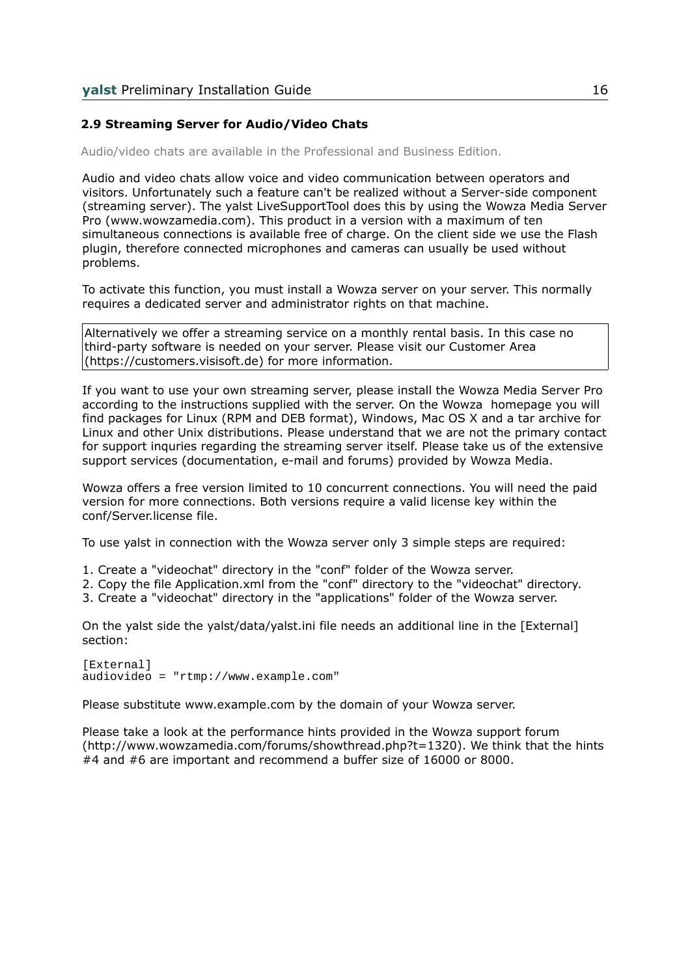#### **2.9 Streaming Server for Audio/Video Chats**

Audio/video chats are available in the Professional and Business Edition.

Audio and video chats allow voice and video communication between operators and visitors. Unfortunately such a feature can't be realized without a Server-side component (streaming server). The yalst LiveSupportTool does this by using the Wowza Media Server Pro (www.wowzamedia.com). This product in a version with a maximum of ten simultaneous connections is available free of charge. On the client side we use the Flash plugin, therefore connected microphones and cameras can usually be used without problems.

To activate this function, you must install a Wowza server on your server. This normally requires a dedicated server and administrator rights on that machine.

Alternatively we offer a streaming service on a monthly rental basis. In this case no third-party software is needed on your server. Please visit our Customer Area (https://customers.visisoft.de) for more information.

If you want to use your own streaming server, please install the Wowza Media Server Pro according to the instructions supplied with the server. On the Wowza homepage you will find packages for Linux (RPM and DEB format), Windows, Mac OS X and a tar archive for Linux and other Unix distributions. Please understand that we are not the primary contact for support inquries regarding the streaming server itself. Please take us of the extensive support services (documentation, e-mail and forums) provided by Wowza Media.

Wowza offers a free version limited to 10 concurrent connections. You will need the paid version for more connections. Both versions require a valid license key within the conf/Server.license file.

To use yalst in connection with the Wowza server only 3 simple steps are required:

- 1. Create a "videochat" directory in the "conf" folder of the Wowza server.
- 2. Copy the file Application.xml from the "conf" directory to the "videochat" directory.
- 3. Create a "videochat" directory in the "applications" folder of the Wowza server.

On the yalst side the yalst/data/yalst.ini file needs an additional line in the [External] section:

[External] audiovideo = "rtmp://www.example.com"

Please substitute www.example.com by the domain of your Wowza server.

Please take a look at the performance hints provided in the Wowza support forum (http://www.wowzamedia.com/forums/showthread.php?t=1320). We think that the hints #4 and #6 are important and recommend a buffer size of 16000 or 8000.